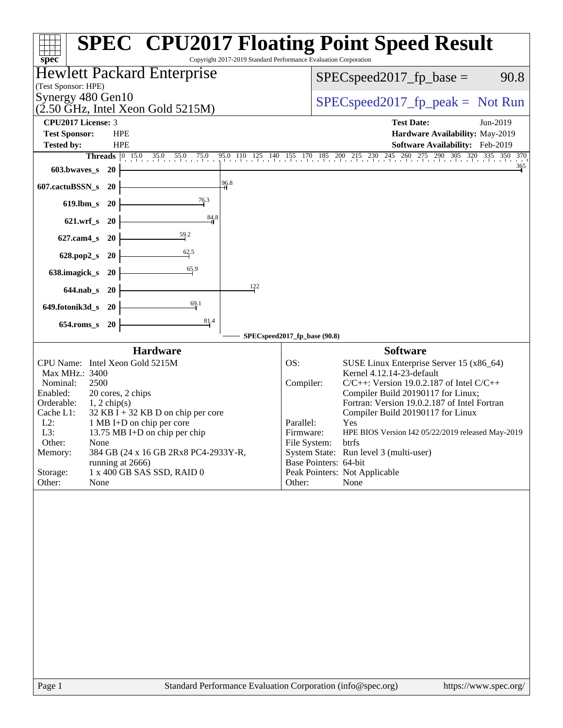| Copyright 2017-2019 Standard Performance Evaluation Corporation<br>spec <sup>®</sup>                                                                                                                                                                                                                                                                                                                                            | <b>SPEC<sup>®</sup> CPU2017 Floating Point Speed Result</b>                                                                                                                                                                                                                                                                                                                                                                                                                                                |
|---------------------------------------------------------------------------------------------------------------------------------------------------------------------------------------------------------------------------------------------------------------------------------------------------------------------------------------------------------------------------------------------------------------------------------|------------------------------------------------------------------------------------------------------------------------------------------------------------------------------------------------------------------------------------------------------------------------------------------------------------------------------------------------------------------------------------------------------------------------------------------------------------------------------------------------------------|
| <b>Hewlett Packard Enterprise</b>                                                                                                                                                                                                                                                                                                                                                                                               | 90.8<br>$SPEC speed2017fp base =$                                                                                                                                                                                                                                                                                                                                                                                                                                                                          |
| (Test Sponsor: HPE)<br>Synergy 480 Gen10<br>$(2.50 \text{ GHz}, \text{Intel Xeon Gold } 5215 \text{M})$                                                                                                                                                                                                                                                                                                                         | $SPEC speed2017rfp peak = Not Run$                                                                                                                                                                                                                                                                                                                                                                                                                                                                         |
| <b>CPU2017 License: 3</b>                                                                                                                                                                                                                                                                                                                                                                                                       | <b>Test Date:</b><br>Jun-2019                                                                                                                                                                                                                                                                                                                                                                                                                                                                              |
| <b>Test Sponsor:</b><br><b>HPE</b><br>Tested by:<br><b>HPE</b>                                                                                                                                                                                                                                                                                                                                                                  | Hardware Availability: May-2019<br>Software Availability: Feb-2019<br><b>Threads</b> 0 15.0 35.0 55.0 75.0 95.0 110 125 140 155 170 185 200 215 230 245 260 275 290 305 320 335 350 370                                                                                                                                                                                                                                                                                                                    |
| 603.bwaves_s<br><b>20</b>                                                                                                                                                                                                                                                                                                                                                                                                       | $\frac{365}{9}$                                                                                                                                                                                                                                                                                                                                                                                                                                                                                            |
| 96.8<br>607.cactuBSSN_s<br><b>20</b>                                                                                                                                                                                                                                                                                                                                                                                            |                                                                                                                                                                                                                                                                                                                                                                                                                                                                                                            |
| 76.3<br>$619$ .lbm_s<br><b>20</b>                                                                                                                                                                                                                                                                                                                                                                                               |                                                                                                                                                                                                                                                                                                                                                                                                                                                                                                            |
| 84.8<br>621.wrf_s 20                                                                                                                                                                                                                                                                                                                                                                                                            |                                                                                                                                                                                                                                                                                                                                                                                                                                                                                                            |
| $\frac{59.2}{2}$<br>$627$ .cam $4_s$<br>-20                                                                                                                                                                                                                                                                                                                                                                                     |                                                                                                                                                                                                                                                                                                                                                                                                                                                                                                            |
| 62.5<br>628.pop2_s<br><b>20</b>                                                                                                                                                                                                                                                                                                                                                                                                 |                                                                                                                                                                                                                                                                                                                                                                                                                                                                                                            |
| 65.9<br>638.imagick_s<br><b>20</b>                                                                                                                                                                                                                                                                                                                                                                                              |                                                                                                                                                                                                                                                                                                                                                                                                                                                                                                            |
| 122<br>644.nab_s 20                                                                                                                                                                                                                                                                                                                                                                                                             |                                                                                                                                                                                                                                                                                                                                                                                                                                                                                                            |
| 69.1<br>649.fotonik3d_s 20                                                                                                                                                                                                                                                                                                                                                                                                      |                                                                                                                                                                                                                                                                                                                                                                                                                                                                                                            |
| 81.4<br>$654$ .roms_s<br><b>20</b>                                                                                                                                                                                                                                                                                                                                                                                              |                                                                                                                                                                                                                                                                                                                                                                                                                                                                                                            |
| <b>Hardware</b>                                                                                                                                                                                                                                                                                                                                                                                                                 | SPECspeed2017_fp_base (90.8)<br><b>Software</b>                                                                                                                                                                                                                                                                                                                                                                                                                                                            |
| CPU Name: Intel Xeon Gold 5215M<br>Max MHz.: 3400<br>Nominal:<br>2500<br>Enabled:<br>20 cores, 2 chips<br>Orderable:<br>$1, 2$ chip(s)<br>Cache L1:<br>$32$ KB I + 32 KB D on chip per core<br>$L2$ :<br>1 MB I+D on chip per core<br>13.75 MB I+D on chip per chip<br>L3:<br>Other:<br>None<br>384 GB (24 x 16 GB 2Rx8 PC4-2933Y-R,<br>Memory:<br>running at 2666)<br>1 x 400 GB SAS SSD, RAID 0<br>Storage:<br>Other:<br>None | OS:<br>SUSE Linux Enterprise Server 15 (x86_64)<br>Kernel 4.12.14-23-default<br>Compiler:<br>$C/C++$ : Version 19.0.2.187 of Intel $C/C++$<br>Compiler Build 20190117 for Linux;<br>Fortran: Version 19.0.2.187 of Intel Fortran<br>Compiler Build 20190117 for Linux<br>Parallel:<br>Yes<br>HPE BIOS Version I42 05/22/2019 released May-2019<br>Firmware:<br>File System:<br>btrfs<br>System State: Run level 3 (multi-user)<br>Base Pointers: 64-bit<br>Peak Pointers: Not Applicable<br>Other:<br>None |
| $D2$ $\alpha$ 1<br>$Standard$ Performance Evaluation Corporation (info@spec.org)                                                                                                                                                                                                                                                                                                                                                | http://www.                                                                                                                                                                                                                                                                                                                                                                                                                                                                                                |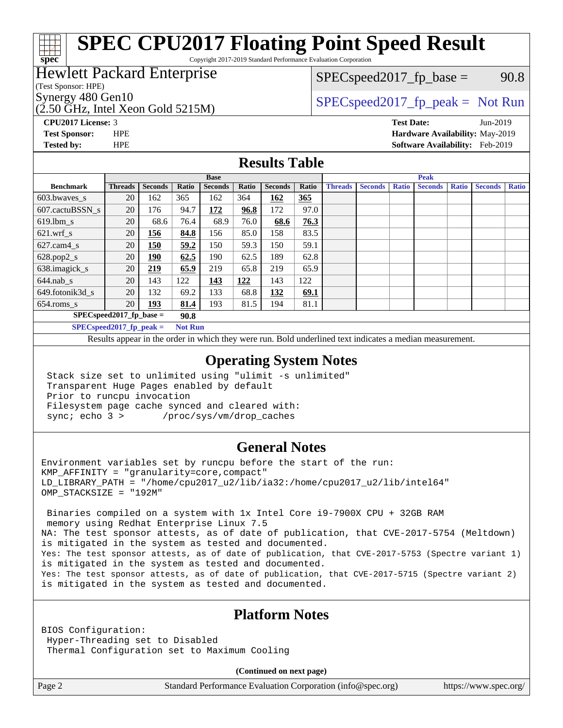# **[SPEC CPU2017 Floating Point Speed Result](http://www.spec.org/auto/cpu2017/Docs/result-fields.html#SPECCPU2017FloatingPointSpeedResult)**

Copyright 2017-2019 Standard Performance Evaluation Corporation

## Hewlett Packard Enterprise

(Test Sponsor: HPE)

**[spec](http://www.spec.org/)**

(2.50 GHz, Intel Xeon Gold 5215M)

 $SPEC speed2017_fp\_base = 90.8$ 

## Synergy 480 Gen10  $S^{per}$  [SPECspeed2017\\_fp\\_peak =](http://www.spec.org/auto/cpu2017/Docs/result-fields.html#SPECspeed2017fppeak) Not Run

**[CPU2017 License:](http://www.spec.org/auto/cpu2017/Docs/result-fields.html#CPU2017License)** 3 **[Test Date:](http://www.spec.org/auto/cpu2017/Docs/result-fields.html#TestDate)** Jun-2019

**[Test Sponsor:](http://www.spec.org/auto/cpu2017/Docs/result-fields.html#TestSponsor)** HPE **[Hardware Availability:](http://www.spec.org/auto/cpu2017/Docs/result-fields.html#HardwareAvailability)** May-2019 **[Tested by:](http://www.spec.org/auto/cpu2017/Docs/result-fields.html#Testedby)** HPE **[Software Availability:](http://www.spec.org/auto/cpu2017/Docs/result-fields.html#SoftwareAvailability)** Feb-2019

#### **[Results Table](http://www.spec.org/auto/cpu2017/Docs/result-fields.html#ResultsTable)**

|                                    | <b>Base</b>                |                |         |                |       |                | <b>Peak</b> |                |                |              |                |              |                |              |
|------------------------------------|----------------------------|----------------|---------|----------------|-------|----------------|-------------|----------------|----------------|--------------|----------------|--------------|----------------|--------------|
| <b>Benchmark</b>                   | <b>Threads</b>             | <b>Seconds</b> | Ratio   | <b>Seconds</b> | Ratio | <b>Seconds</b> | Ratio       | <b>Threads</b> | <b>Seconds</b> | <b>Ratio</b> | <b>Seconds</b> | <b>Ratio</b> | <b>Seconds</b> | <b>Ratio</b> |
| $603.bwaves$ s                     | 20                         | 162            | 365     | 162            | 364   | 162            | 365         |                |                |              |                |              |                |              |
| 607.cactuBSSN s                    | 20                         | 176            | 94.7    | 172            | 96.8  | 172            | 97.0        |                |                |              |                |              |                |              |
| $619.$ lbm_s                       | 20                         | 68.6           | 76.4    | 68.9           | 76.0  | 68.6           | 76.3        |                |                |              |                |              |                |              |
| $621$ wrf s                        | 20                         | 156            | 84.8    | 156            | 85.0  | 158            | 83.5        |                |                |              |                |              |                |              |
| $627$ .cam $4$ <sub>s</sub>        | 20                         | 150            | 59.2    | 150            | 59.3  | 150            | 59.1        |                |                |              |                |              |                |              |
| $628.pop2_s$                       | 20                         | <u> 190</u>    | 62.5    | 190            | 62.5  | 189            | 62.8        |                |                |              |                |              |                |              |
| $638$ .imagick $s$                 | 20                         | 219            | 65.9    | 219            | 65.8  | 219            | 65.9        |                |                |              |                |              |                |              |
| $644$ .nab s                       | 20                         | 143            | 122     | 143            | 122   | 143            | 122         |                |                |              |                |              |                |              |
| 649.fotonik3d s                    | 20                         | 132            | 69.2    | 133            | 68.8  | 132            | 69.1        |                |                |              |                |              |                |              |
| $654$ .roms s                      | 20                         | <u> 193</u>    | 81.4    | 193            | 81.5  | 194            | 81.1        |                |                |              |                |              |                |              |
| $SPEC speed2017$ fp base =<br>90.8 |                            |                |         |                |       |                |             |                |                |              |                |              |                |              |
|                                    | $SPFCeped2017$ fo $posh -$ |                | Not Run |                |       |                |             |                |                |              |                |              |                |              |

**EUspeed2017\_ip\_peak =** 

Results appear in the [order in which they were run.](http://www.spec.org/auto/cpu2017/Docs/result-fields.html#RunOrder) Bold underlined text [indicates a median measurement](http://www.spec.org/auto/cpu2017/Docs/result-fields.html#Median).

#### **[Operating System Notes](http://www.spec.org/auto/cpu2017/Docs/result-fields.html#OperatingSystemNotes)**

 Stack size set to unlimited using "ulimit -s unlimited" Transparent Huge Pages enabled by default Prior to runcpu invocation Filesystem page cache synced and cleared with: sync; echo 3 > /proc/sys/vm/drop\_caches

#### **[General Notes](http://www.spec.org/auto/cpu2017/Docs/result-fields.html#GeneralNotes)**

Environment variables set by runcpu before the start of the run: KMP\_AFFINITY = "granularity=core,compact" LD\_LIBRARY\_PATH = "/home/cpu2017\_u2/lib/ia32:/home/cpu2017\_u2/lib/intel64" OMP\_STACKSIZE = "192M"

 Binaries compiled on a system with 1x Intel Core i9-7900X CPU + 32GB RAM memory using Redhat Enterprise Linux 7.5 NA: The test sponsor attests, as of date of publication, that CVE-2017-5754 (Meltdown) is mitigated in the system as tested and documented. Yes: The test sponsor attests, as of date of publication, that CVE-2017-5753 (Spectre variant 1) is mitigated in the system as tested and documented. Yes: The test sponsor attests, as of date of publication, that CVE-2017-5715 (Spectre variant 2) is mitigated in the system as tested and documented.

### **[Platform Notes](http://www.spec.org/auto/cpu2017/Docs/result-fields.html#PlatformNotes)**

BIOS Configuration: Hyper-Threading set to Disabled Thermal Configuration set to Maximum Cooling

**(Continued on next page)**

Page 2 Standard Performance Evaluation Corporation [\(info@spec.org\)](mailto:info@spec.org) <https://www.spec.org/>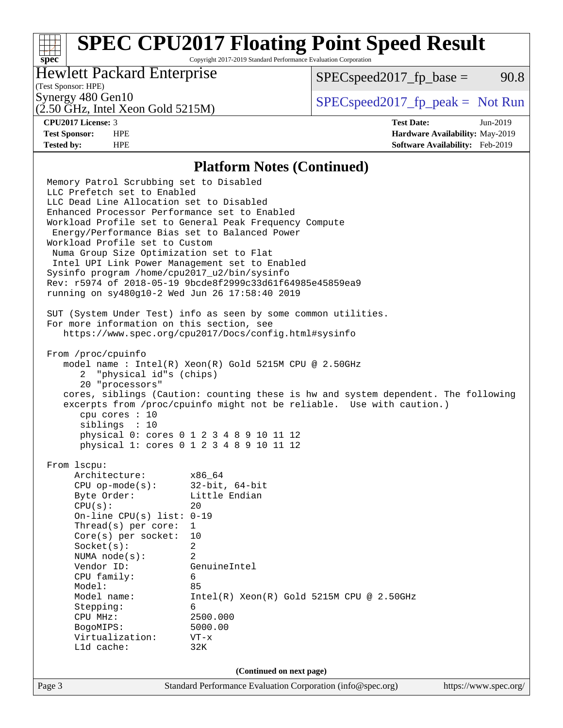## **[SPEC CPU2017 Floating Point Speed Result](http://www.spec.org/auto/cpu2017/Docs/result-fields.html#SPECCPU2017FloatingPointSpeedResult)**

Copyright 2017-2019 Standard Performance Evaluation Corporation

### Hewlett Packard Enterprise

 $SPEC speed2017<sub>fp</sub> base = 90.8$ 

## (Test Sponsor: HPE)

**[spec](http://www.spec.org/)**

(2.50 GHz, Intel Xeon Gold 5215M)

Synergy 480 Gen10  $S^{perg}$  [SPECspeed2017\\_fp\\_peak =](http://www.spec.org/auto/cpu2017/Docs/result-fields.html#SPECspeed2017fppeak) Not Run

**[CPU2017 License:](http://www.spec.org/auto/cpu2017/Docs/result-fields.html#CPU2017License)** 3 **[Test Date:](http://www.spec.org/auto/cpu2017/Docs/result-fields.html#TestDate)** Jun-2019 **[Test Sponsor:](http://www.spec.org/auto/cpu2017/Docs/result-fields.html#TestSponsor)** HPE **[Hardware Availability:](http://www.spec.org/auto/cpu2017/Docs/result-fields.html#HardwareAvailability)** May-2019 **[Tested by:](http://www.spec.org/auto/cpu2017/Docs/result-fields.html#Testedby)** HPE **[Software Availability:](http://www.spec.org/auto/cpu2017/Docs/result-fields.html#SoftwareAvailability)** Feb-2019

#### **[Platform Notes \(Continued\)](http://www.spec.org/auto/cpu2017/Docs/result-fields.html#PlatformNotes)**

Page 3 Standard Performance Evaluation Corporation [\(info@spec.org\)](mailto:info@spec.org) <https://www.spec.org/> Memory Patrol Scrubbing set to Disabled LLC Prefetch set to Enabled LLC Dead Line Allocation set to Disabled Enhanced Processor Performance set to Enabled Workload Profile set to General Peak Frequency Compute Energy/Performance Bias set to Balanced Power Workload Profile set to Custom Numa Group Size Optimization set to Flat Intel UPI Link Power Management set to Enabled Sysinfo program /home/cpu2017\_u2/bin/sysinfo Rev: r5974 of 2018-05-19 9bcde8f2999c33d61f64985e45859ea9 running on sy480g10-2 Wed Jun 26 17:58:40 2019 SUT (System Under Test) info as seen by some common utilities. For more information on this section, see <https://www.spec.org/cpu2017/Docs/config.html#sysinfo> From /proc/cpuinfo model name : Intel(R) Xeon(R) Gold 5215M CPU @ 2.50GHz 2 "physical id"s (chips) 20 "processors" cores, siblings (Caution: counting these is hw and system dependent. The following excerpts from /proc/cpuinfo might not be reliable. Use with caution.) cpu cores : 10 siblings : 10 physical 0: cores 0 1 2 3 4 8 9 10 11 12 physical 1: cores 0 1 2 3 4 8 9 10 11 12 From lscpu: Architecture: x86\_64 CPU op-mode(s): 32-bit, 64-bit Byte Order: Little Endian  $CPU(s):$  20 On-line CPU(s) list: 0-19 Thread(s) per core: 1 Core(s) per socket: 10 Socket(s): 2 NUMA node(s): 2 Vendor ID: GenuineIntel CPU family: 6 Model: 85 Model name: Intel(R) Xeon(R) Gold 5215M CPU @ 2.50GHz Stepping: 6 CPU MHz: 2500.000 BogoMIPS: 5000.00 Virtualization: VT-x L1d cache: 32K **(Continued on next page)**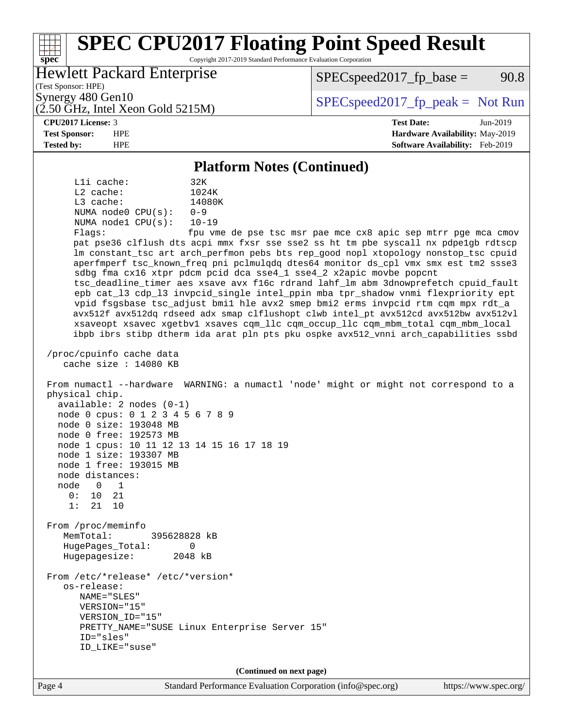#### **[spec](http://www.spec.org/) [SPEC CPU2017 Floating Point Speed Result](http://www.spec.org/auto/cpu2017/Docs/result-fields.html#SPECCPU2017FloatingPointSpeedResult)** Copyright 2017-2019 Standard Performance Evaluation Corporation (Test Sponsor: HPE) Hewlett Packard Enterprise (2.50 GHz, Intel Xeon Gold 5215M) Synergy 480 Gen10  $S^{perg}$  [SPECspeed2017\\_fp\\_peak =](http://www.spec.org/auto/cpu2017/Docs/result-fields.html#SPECspeed2017fppeak) Not Run  $SPEC speed2017<sub>fp</sub> base = 90.8$ **[CPU2017 License:](http://www.spec.org/auto/cpu2017/Docs/result-fields.html#CPU2017License)** 3 **[Test Date:](http://www.spec.org/auto/cpu2017/Docs/result-fields.html#TestDate)** Jun-2019 **[Test Sponsor:](http://www.spec.org/auto/cpu2017/Docs/result-fields.html#TestSponsor)** HPE **[Hardware Availability:](http://www.spec.org/auto/cpu2017/Docs/result-fields.html#HardwareAvailability)** May-2019 **[Tested by:](http://www.spec.org/auto/cpu2017/Docs/result-fields.html#Testedby)** HPE **[Software Availability:](http://www.spec.org/auto/cpu2017/Docs/result-fields.html#SoftwareAvailability)** Feb-2019 **[Platform Notes \(Continued\)](http://www.spec.org/auto/cpu2017/Docs/result-fields.html#PlatformNotes)** L1i cache: 32K L2 cache: 1024K L3 cache: 14080K NUMA node0 CPU(s): 0-9 NUMA node1 CPU(s): 10-19 Flags: fpu vme de pse tsc msr pae mce cx8 apic sep mtrr pge mca cmov pat pse36 clflush dts acpi mmx fxsr sse sse2 ss ht tm pbe syscall nx pdpe1gb rdtscp lm constant\_tsc art arch\_perfmon pebs bts rep\_good nopl xtopology nonstop\_tsc cpuid aperfmperf tsc\_known\_freq pni pclmulqdq dtes64 monitor ds\_cpl vmx smx est tm2 ssse3 sdbg fma cx16 xtpr pdcm pcid dca sse4\_1 sse4\_2 x2apic movbe popcnt tsc\_deadline\_timer aes xsave avx f16c rdrand lahf\_lm abm 3dnowprefetch cpuid\_fault epb cat\_l3 cdp\_l3 invpcid\_single intel\_ppin mba tpr\_shadow vnmi flexpriority ept vpid fsgsbase tsc\_adjust bmi1 hle avx2 smep bmi2 erms invpcid rtm cqm mpx rdt\_a avx512f avx512dq rdseed adx smap clflushopt clwb intel\_pt avx512cd avx512bw avx512vl xsaveopt xsavec xgetbv1 xsaves cqm\_llc cqm\_occup\_llc cqm\_mbm\_total cqm\_mbm\_local ibpb ibrs stibp dtherm ida arat pln pts pku ospke avx512\_vnni arch\_capabilities ssbd /proc/cpuinfo cache data cache size : 14080 KB From numactl --hardware WARNING: a numactl 'node' might or might not correspond to a physical chip. available: 2 nodes (0-1) node 0 cpus: 0 1 2 3 4 5 6 7 8 9 node 0 size: 193048 MB node 0 free: 192573 MB node 1 cpus: 10 11 12 13 14 15 16 17 18 19 node 1 size: 193307 MB node 1 free: 193015 MB node distances: node 0 1  $0: 10 21$  1: 21 10 From /proc/meminfo MemTotal: 395628828 kB HugePages\_Total: 0 Hugepagesize: 2048 kB From /etc/\*release\* /etc/\*version\* os-release: NAME="SLES" VERSION="15" VERSION\_ID="15" PRETTY\_NAME="SUSE Linux Enterprise Server 15" ID="sles" ID\_LIKE="suse" **(Continued on next page)**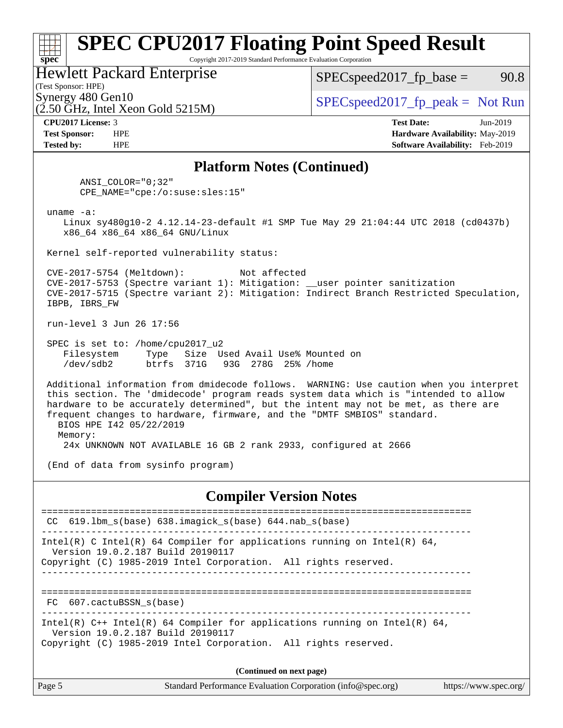#### **[spec](http://www.spec.org/) [SPEC CPU2017 Floating Point Speed Result](http://www.spec.org/auto/cpu2017/Docs/result-fields.html#SPECCPU2017FloatingPointSpeedResult)** Copyright 2017-2019 Standard Performance Evaluation Corporation (Test Sponsor: HPE) Hewlett Packard Enterprise (2.50 GHz, Intel Xeon Gold 5215M) Synergy 480 Gen10  $S^{per}$  [SPECspeed2017\\_fp\\_peak =](http://www.spec.org/auto/cpu2017/Docs/result-fields.html#SPECspeed2017fppeak) Not Run  $SPEC speed2017_fp\_base = 90.8$ **[CPU2017 License:](http://www.spec.org/auto/cpu2017/Docs/result-fields.html#CPU2017License)** 3 **[Test Date:](http://www.spec.org/auto/cpu2017/Docs/result-fields.html#TestDate)** Jun-2019 **[Test Sponsor:](http://www.spec.org/auto/cpu2017/Docs/result-fields.html#TestSponsor)** HPE **[Hardware Availability:](http://www.spec.org/auto/cpu2017/Docs/result-fields.html#HardwareAvailability)** May-2019 **[Tested by:](http://www.spec.org/auto/cpu2017/Docs/result-fields.html#Testedby)** HPE **[Software Availability:](http://www.spec.org/auto/cpu2017/Docs/result-fields.html#SoftwareAvailability)** Feb-2019 **[Platform Notes \(Continued\)](http://www.spec.org/auto/cpu2017/Docs/result-fields.html#PlatformNotes)** ANSI\_COLOR="0;32" CPE\_NAME="cpe:/o:suse:sles:15" uname -a: Linux sy480g10-2 4.12.14-23-default #1 SMP Tue May 29 21:04:44 UTC 2018 (cd0437b) x86\_64 x86\_64 x86\_64 GNU/Linux Kernel self-reported vulnerability status: CVE-2017-5754 (Meltdown): Not affected CVE-2017-5753 (Spectre variant 1): Mitigation: \_\_user pointer sanitization CVE-2017-5715 (Spectre variant 2): Mitigation: Indirect Branch Restricted Speculation, IBPB, IBRS\_FW run-level 3 Jun 26 17:56 SPEC is set to: /home/cpu2017\_u2 Filesystem Type Size Used Avail Use% Mounted on /dev/sdb2 btrfs 371G 93G 278G 25% /home Additional information from dmidecode follows. WARNING: Use caution when you interpret this section. The 'dmidecode' program reads system data which is "intended to allow hardware to be accurately determined", but the intent may not be met, as there are frequent changes to hardware, firmware, and the "DMTF SMBIOS" standard. BIOS HPE I42 05/22/2019 Memory: 24x UNKNOWN NOT AVAILABLE 16 GB 2 rank 2933, configured at 2666

(End of data from sysinfo program)

#### **[Compiler Version Notes](http://www.spec.org/auto/cpu2017/Docs/result-fields.html#CompilerVersionNotes)**

Page 5 Standard Performance Evaluation Corporation [\(info@spec.org\)](mailto:info@spec.org) <https://www.spec.org/> ============================================================================== CC 619.lbm\_s(base) 638.imagick\_s(base) 644.nab\_s(base) ------------------------------------------------------------------------------ Intel(R) C Intel(R) 64 Compiler for applications running on Intel(R)  $64$ , Version 19.0.2.187 Build 20190117 Copyright (C) 1985-2019 Intel Corporation. All rights reserved. ------------------------------------------------------------------------------ ============================================================================== FC 607.cactuBSSN\_s(base) ------------------------------------------------------------------------------ Intel(R) C++ Intel(R) 64 Compiler for applications running on Intel(R) 64, Version 19.0.2.187 Build 20190117 Copyright (C) 1985-2019 Intel Corporation. All rights reserved. **(Continued on next page)**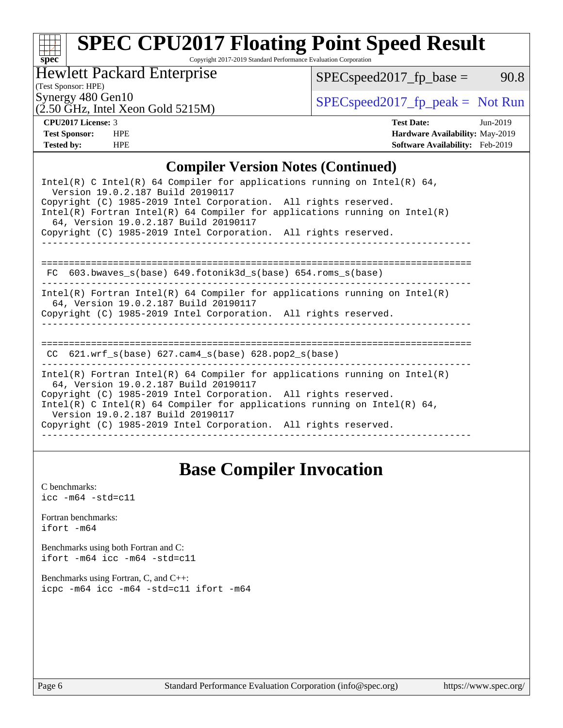# **[spec](http://www.spec.org/)**

# **[SPEC CPU2017 Floating Point Speed Result](http://www.spec.org/auto/cpu2017/Docs/result-fields.html#SPECCPU2017FloatingPointSpeedResult)**

Copyright 2017-2019 Standard Performance Evaluation Corporation

Hewlett Packard Enterprise

 $SPEC speed2017_fp\_base = 90.8$ 

(Test Sponsor: HPE)

(2.50 GHz, Intel Xeon Gold 5215M)

Synergy 480 Gen10<br>  $SPEC speed2017<sub>rfp</sub> peak = Not Run$ 

**[CPU2017 License:](http://www.spec.org/auto/cpu2017/Docs/result-fields.html#CPU2017License)** 3 **[Test Date:](http://www.spec.org/auto/cpu2017/Docs/result-fields.html#TestDate)** Jun-2019 **[Test Sponsor:](http://www.spec.org/auto/cpu2017/Docs/result-fields.html#TestSponsor)** HPE **[Hardware Availability:](http://www.spec.org/auto/cpu2017/Docs/result-fields.html#HardwareAvailability)** May-2019 **[Tested by:](http://www.spec.org/auto/cpu2017/Docs/result-fields.html#Testedby)** HPE **[Software Availability:](http://www.spec.org/auto/cpu2017/Docs/result-fields.html#SoftwareAvailability)** Feb-2019

#### **[Compiler Version Notes \(Continued\)](http://www.spec.org/auto/cpu2017/Docs/result-fields.html#CompilerVersionNotes)**

## **[Base Compiler Invocation](http://www.spec.org/auto/cpu2017/Docs/result-fields.html#BaseCompilerInvocation)**

[C benchmarks](http://www.spec.org/auto/cpu2017/Docs/result-fields.html#Cbenchmarks):  $\text{icc}$  -m64 -std=c11 [Fortran benchmarks](http://www.spec.org/auto/cpu2017/Docs/result-fields.html#Fortranbenchmarks): [ifort -m64](http://www.spec.org/cpu2017/results/res2019q3/cpu2017-20190709-16130.flags.html#user_FCbase_intel_ifort_64bit_24f2bb282fbaeffd6157abe4f878425411749daecae9a33200eee2bee2fe76f3b89351d69a8130dd5949958ce389cf37ff59a95e7a40d588e8d3a57e0c3fd751) [Benchmarks using both Fortran and C](http://www.spec.org/auto/cpu2017/Docs/result-fields.html#BenchmarksusingbothFortranandC): [ifort -m64](http://www.spec.org/cpu2017/results/res2019q3/cpu2017-20190709-16130.flags.html#user_CC_FCbase_intel_ifort_64bit_24f2bb282fbaeffd6157abe4f878425411749daecae9a33200eee2bee2fe76f3b89351d69a8130dd5949958ce389cf37ff59a95e7a40d588e8d3a57e0c3fd751) [icc -m64 -std=c11](http://www.spec.org/cpu2017/results/res2019q3/cpu2017-20190709-16130.flags.html#user_CC_FCbase_intel_icc_64bit_c11_33ee0cdaae7deeeab2a9725423ba97205ce30f63b9926c2519791662299b76a0318f32ddfffdc46587804de3178b4f9328c46fa7c2b0cd779d7a61945c91cd35) [Benchmarks using Fortran, C, and C++:](http://www.spec.org/auto/cpu2017/Docs/result-fields.html#BenchmarksusingFortranCandCXX) [icpc -m64](http://www.spec.org/cpu2017/results/res2019q3/cpu2017-20190709-16130.flags.html#user_CC_CXX_FCbase_intel_icpc_64bit_4ecb2543ae3f1412ef961e0650ca070fec7b7afdcd6ed48761b84423119d1bf6bdf5cad15b44d48e7256388bc77273b966e5eb805aefd121eb22e9299b2ec9d9) [icc -m64 -std=c11](http://www.spec.org/cpu2017/results/res2019q3/cpu2017-20190709-16130.flags.html#user_CC_CXX_FCbase_intel_icc_64bit_c11_33ee0cdaae7deeeab2a9725423ba97205ce30f63b9926c2519791662299b76a0318f32ddfffdc46587804de3178b4f9328c46fa7c2b0cd779d7a61945c91cd35) [ifort -m64](http://www.spec.org/cpu2017/results/res2019q3/cpu2017-20190709-16130.flags.html#user_CC_CXX_FCbase_intel_ifort_64bit_24f2bb282fbaeffd6157abe4f878425411749daecae9a33200eee2bee2fe76f3b89351d69a8130dd5949958ce389cf37ff59a95e7a40d588e8d3a57e0c3fd751)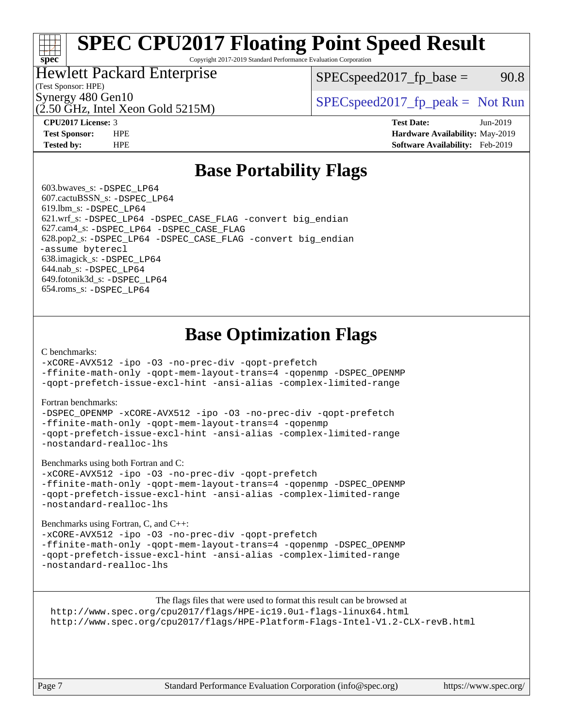# **[SPEC CPU2017 Floating Point Speed Result](http://www.spec.org/auto/cpu2017/Docs/result-fields.html#SPECCPU2017FloatingPointSpeedResult)**

Copyright 2017-2019 Standard Performance Evaluation Corporation

### Hewlett Packard Enterprise

 $SPEC speed2017<sub>fp</sub> base = 90.8$ 

(Test Sponsor: HPE)

**[spec](http://www.spec.org/)**

(2.50 GHz, Intel Xeon Gold 5215M)

Synergy 480 Gen10  $S^{per}$  [SPECspeed2017\\_fp\\_peak =](http://www.spec.org/auto/cpu2017/Docs/result-fields.html#SPECspeed2017fppeak) Not Run

**[CPU2017 License:](http://www.spec.org/auto/cpu2017/Docs/result-fields.html#CPU2017License)** 3 **[Test Date:](http://www.spec.org/auto/cpu2017/Docs/result-fields.html#TestDate)** Jun-2019 **[Test Sponsor:](http://www.spec.org/auto/cpu2017/Docs/result-fields.html#TestSponsor)** HPE **[Hardware Availability:](http://www.spec.org/auto/cpu2017/Docs/result-fields.html#HardwareAvailability)** May-2019 **[Tested by:](http://www.spec.org/auto/cpu2017/Docs/result-fields.html#Testedby)** HPE **[Software Availability:](http://www.spec.org/auto/cpu2017/Docs/result-fields.html#SoftwareAvailability)** Feb-2019

## **[Base Portability Flags](http://www.spec.org/auto/cpu2017/Docs/result-fields.html#BasePortabilityFlags)**

 603.bwaves\_s: [-DSPEC\\_LP64](http://www.spec.org/cpu2017/results/res2019q3/cpu2017-20190709-16130.flags.html#suite_basePORTABILITY603_bwaves_s_DSPEC_LP64) 607.cactuBSSN\_s: [-DSPEC\\_LP64](http://www.spec.org/cpu2017/results/res2019q3/cpu2017-20190709-16130.flags.html#suite_basePORTABILITY607_cactuBSSN_s_DSPEC_LP64) 619.lbm\_s: [-DSPEC\\_LP64](http://www.spec.org/cpu2017/results/res2019q3/cpu2017-20190709-16130.flags.html#suite_basePORTABILITY619_lbm_s_DSPEC_LP64) 621.wrf\_s: [-DSPEC\\_LP64](http://www.spec.org/cpu2017/results/res2019q3/cpu2017-20190709-16130.flags.html#suite_basePORTABILITY621_wrf_s_DSPEC_LP64) [-DSPEC\\_CASE\\_FLAG](http://www.spec.org/cpu2017/results/res2019q3/cpu2017-20190709-16130.flags.html#b621.wrf_s_baseCPORTABILITY_DSPEC_CASE_FLAG) [-convert big\\_endian](http://www.spec.org/cpu2017/results/res2019q3/cpu2017-20190709-16130.flags.html#user_baseFPORTABILITY621_wrf_s_convert_big_endian_c3194028bc08c63ac5d04de18c48ce6d347e4e562e8892b8bdbdc0214820426deb8554edfa529a3fb25a586e65a3d812c835984020483e7e73212c4d31a38223) 627.cam4\_s: [-DSPEC\\_LP64](http://www.spec.org/cpu2017/results/res2019q3/cpu2017-20190709-16130.flags.html#suite_basePORTABILITY627_cam4_s_DSPEC_LP64) [-DSPEC\\_CASE\\_FLAG](http://www.spec.org/cpu2017/results/res2019q3/cpu2017-20190709-16130.flags.html#b627.cam4_s_baseCPORTABILITY_DSPEC_CASE_FLAG) 628.pop2\_s: [-DSPEC\\_LP64](http://www.spec.org/cpu2017/results/res2019q3/cpu2017-20190709-16130.flags.html#suite_basePORTABILITY628_pop2_s_DSPEC_LP64) [-DSPEC\\_CASE\\_FLAG](http://www.spec.org/cpu2017/results/res2019q3/cpu2017-20190709-16130.flags.html#b628.pop2_s_baseCPORTABILITY_DSPEC_CASE_FLAG) [-convert big\\_endian](http://www.spec.org/cpu2017/results/res2019q3/cpu2017-20190709-16130.flags.html#user_baseFPORTABILITY628_pop2_s_convert_big_endian_c3194028bc08c63ac5d04de18c48ce6d347e4e562e8892b8bdbdc0214820426deb8554edfa529a3fb25a586e65a3d812c835984020483e7e73212c4d31a38223) [-assume byterecl](http://www.spec.org/cpu2017/results/res2019q3/cpu2017-20190709-16130.flags.html#user_baseFPORTABILITY628_pop2_s_assume_byterecl_7e47d18b9513cf18525430bbf0f2177aa9bf368bc7a059c09b2c06a34b53bd3447c950d3f8d6c70e3faf3a05c8557d66a5798b567902e8849adc142926523472) 638.imagick\_s: [-DSPEC\\_LP64](http://www.spec.org/cpu2017/results/res2019q3/cpu2017-20190709-16130.flags.html#suite_basePORTABILITY638_imagick_s_DSPEC_LP64) 644.nab\_s: [-DSPEC\\_LP64](http://www.spec.org/cpu2017/results/res2019q3/cpu2017-20190709-16130.flags.html#suite_basePORTABILITY644_nab_s_DSPEC_LP64) 649.fotonik3d\_s: [-DSPEC\\_LP64](http://www.spec.org/cpu2017/results/res2019q3/cpu2017-20190709-16130.flags.html#suite_basePORTABILITY649_fotonik3d_s_DSPEC_LP64) 654.roms\_s: [-DSPEC\\_LP64](http://www.spec.org/cpu2017/results/res2019q3/cpu2017-20190709-16130.flags.html#suite_basePORTABILITY654_roms_s_DSPEC_LP64)

## **[Base Optimization Flags](http://www.spec.org/auto/cpu2017/Docs/result-fields.html#BaseOptimizationFlags)**

#### [C benchmarks](http://www.spec.org/auto/cpu2017/Docs/result-fields.html#Cbenchmarks):

[-xCORE-AVX512](http://www.spec.org/cpu2017/results/res2019q3/cpu2017-20190709-16130.flags.html#user_CCbase_f-xCORE-AVX512) [-ipo](http://www.spec.org/cpu2017/results/res2019q3/cpu2017-20190709-16130.flags.html#user_CCbase_f-ipo) [-O3](http://www.spec.org/cpu2017/results/res2019q3/cpu2017-20190709-16130.flags.html#user_CCbase_f-O3) [-no-prec-div](http://www.spec.org/cpu2017/results/res2019q3/cpu2017-20190709-16130.flags.html#user_CCbase_f-no-prec-div) [-qopt-prefetch](http://www.spec.org/cpu2017/results/res2019q3/cpu2017-20190709-16130.flags.html#user_CCbase_f-qopt-prefetch)

[-ffinite-math-only](http://www.spec.org/cpu2017/results/res2019q3/cpu2017-20190709-16130.flags.html#user_CCbase_f_finite_math_only_cb91587bd2077682c4b38af759c288ed7c732db004271a9512da14a4f8007909a5f1427ecbf1a0fb78ff2a814402c6114ac565ca162485bbcae155b5e4258871) [-qopt-mem-layout-trans=4](http://www.spec.org/cpu2017/results/res2019q3/cpu2017-20190709-16130.flags.html#user_CCbase_f-qopt-mem-layout-trans_fa39e755916c150a61361b7846f310bcdf6f04e385ef281cadf3647acec3f0ae266d1a1d22d972a7087a248fd4e6ca390a3634700869573d231a252c784941a8) [-qopenmp](http://www.spec.org/cpu2017/results/res2019q3/cpu2017-20190709-16130.flags.html#user_CCbase_qopenmp_16be0c44f24f464004c6784a7acb94aca937f053568ce72f94b139a11c7c168634a55f6653758ddd83bcf7b8463e8028bb0b48b77bcddc6b78d5d95bb1df2967) [-DSPEC\\_OPENMP](http://www.spec.org/cpu2017/results/res2019q3/cpu2017-20190709-16130.flags.html#suite_CCbase_DSPEC_OPENMP) [-qopt-prefetch-issue-excl-hint](http://www.spec.org/cpu2017/results/res2019q3/cpu2017-20190709-16130.flags.html#user_CCbase_f-qopt-prefetch-issue-excl-hint) [-ansi-alias](http://www.spec.org/cpu2017/results/res2019q3/cpu2017-20190709-16130.flags.html#user_CCbase_f-ansi-alias) [-complex-limited-range](http://www.spec.org/cpu2017/results/res2019q3/cpu2017-20190709-16130.flags.html#user_CCbase_f-complex-limited-range)

#### [Fortran benchmarks](http://www.spec.org/auto/cpu2017/Docs/result-fields.html#Fortranbenchmarks):

[-DSPEC\\_OPENMP](http://www.spec.org/cpu2017/results/res2019q3/cpu2017-20190709-16130.flags.html#suite_FCbase_DSPEC_OPENMP) [-xCORE-AVX512](http://www.spec.org/cpu2017/results/res2019q3/cpu2017-20190709-16130.flags.html#user_FCbase_f-xCORE-AVX512) [-ipo](http://www.spec.org/cpu2017/results/res2019q3/cpu2017-20190709-16130.flags.html#user_FCbase_f-ipo) [-O3](http://www.spec.org/cpu2017/results/res2019q3/cpu2017-20190709-16130.flags.html#user_FCbase_f-O3) [-no-prec-div](http://www.spec.org/cpu2017/results/res2019q3/cpu2017-20190709-16130.flags.html#user_FCbase_f-no-prec-div) [-qopt-prefetch](http://www.spec.org/cpu2017/results/res2019q3/cpu2017-20190709-16130.flags.html#user_FCbase_f-qopt-prefetch) [-ffinite-math-only](http://www.spec.org/cpu2017/results/res2019q3/cpu2017-20190709-16130.flags.html#user_FCbase_f_finite_math_only_cb91587bd2077682c4b38af759c288ed7c732db004271a9512da14a4f8007909a5f1427ecbf1a0fb78ff2a814402c6114ac565ca162485bbcae155b5e4258871) [-qopt-mem-layout-trans=4](http://www.spec.org/cpu2017/results/res2019q3/cpu2017-20190709-16130.flags.html#user_FCbase_f-qopt-mem-layout-trans_fa39e755916c150a61361b7846f310bcdf6f04e385ef281cadf3647acec3f0ae266d1a1d22d972a7087a248fd4e6ca390a3634700869573d231a252c784941a8) [-qopenmp](http://www.spec.org/cpu2017/results/res2019q3/cpu2017-20190709-16130.flags.html#user_FCbase_qopenmp_16be0c44f24f464004c6784a7acb94aca937f053568ce72f94b139a11c7c168634a55f6653758ddd83bcf7b8463e8028bb0b48b77bcddc6b78d5d95bb1df2967) [-qopt-prefetch-issue-excl-hint](http://www.spec.org/cpu2017/results/res2019q3/cpu2017-20190709-16130.flags.html#user_FCbase_f-qopt-prefetch-issue-excl-hint) [-ansi-alias](http://www.spec.org/cpu2017/results/res2019q3/cpu2017-20190709-16130.flags.html#user_FCbase_f-ansi-alias) [-complex-limited-range](http://www.spec.org/cpu2017/results/res2019q3/cpu2017-20190709-16130.flags.html#user_FCbase_f-complex-limited-range) [-nostandard-realloc-lhs](http://www.spec.org/cpu2017/results/res2019q3/cpu2017-20190709-16130.flags.html#user_FCbase_f_2003_std_realloc_82b4557e90729c0f113870c07e44d33d6f5a304b4f63d4c15d2d0f1fab99f5daaed73bdb9275d9ae411527f28b936061aa8b9c8f2d63842963b95c9dd6426b8a)

[Benchmarks using both Fortran and C](http://www.spec.org/auto/cpu2017/Docs/result-fields.html#BenchmarksusingbothFortranandC):

[-xCORE-AVX512](http://www.spec.org/cpu2017/results/res2019q3/cpu2017-20190709-16130.flags.html#user_CC_FCbase_f-xCORE-AVX512) [-ipo](http://www.spec.org/cpu2017/results/res2019q3/cpu2017-20190709-16130.flags.html#user_CC_FCbase_f-ipo) [-O3](http://www.spec.org/cpu2017/results/res2019q3/cpu2017-20190709-16130.flags.html#user_CC_FCbase_f-O3) [-no-prec-div](http://www.spec.org/cpu2017/results/res2019q3/cpu2017-20190709-16130.flags.html#user_CC_FCbase_f-no-prec-div) [-qopt-prefetch](http://www.spec.org/cpu2017/results/res2019q3/cpu2017-20190709-16130.flags.html#user_CC_FCbase_f-qopt-prefetch) [-ffinite-math-only](http://www.spec.org/cpu2017/results/res2019q3/cpu2017-20190709-16130.flags.html#user_CC_FCbase_f_finite_math_only_cb91587bd2077682c4b38af759c288ed7c732db004271a9512da14a4f8007909a5f1427ecbf1a0fb78ff2a814402c6114ac565ca162485bbcae155b5e4258871) [-qopt-mem-layout-trans=4](http://www.spec.org/cpu2017/results/res2019q3/cpu2017-20190709-16130.flags.html#user_CC_FCbase_f-qopt-mem-layout-trans_fa39e755916c150a61361b7846f310bcdf6f04e385ef281cadf3647acec3f0ae266d1a1d22d972a7087a248fd4e6ca390a3634700869573d231a252c784941a8) [-qopenmp](http://www.spec.org/cpu2017/results/res2019q3/cpu2017-20190709-16130.flags.html#user_CC_FCbase_qopenmp_16be0c44f24f464004c6784a7acb94aca937f053568ce72f94b139a11c7c168634a55f6653758ddd83bcf7b8463e8028bb0b48b77bcddc6b78d5d95bb1df2967) [-DSPEC\\_OPENMP](http://www.spec.org/cpu2017/results/res2019q3/cpu2017-20190709-16130.flags.html#suite_CC_FCbase_DSPEC_OPENMP) [-qopt-prefetch-issue-excl-hint](http://www.spec.org/cpu2017/results/res2019q3/cpu2017-20190709-16130.flags.html#user_CC_FCbase_f-qopt-prefetch-issue-excl-hint) [-ansi-alias](http://www.spec.org/cpu2017/results/res2019q3/cpu2017-20190709-16130.flags.html#user_CC_FCbase_f-ansi-alias) [-complex-limited-range](http://www.spec.org/cpu2017/results/res2019q3/cpu2017-20190709-16130.flags.html#user_CC_FCbase_f-complex-limited-range) [-nostandard-realloc-lhs](http://www.spec.org/cpu2017/results/res2019q3/cpu2017-20190709-16130.flags.html#user_CC_FCbase_f_2003_std_realloc_82b4557e90729c0f113870c07e44d33d6f5a304b4f63d4c15d2d0f1fab99f5daaed73bdb9275d9ae411527f28b936061aa8b9c8f2d63842963b95c9dd6426b8a)

[Benchmarks using Fortran, C, and C++:](http://www.spec.org/auto/cpu2017/Docs/result-fields.html#BenchmarksusingFortranCandCXX)

[-xCORE-AVX512](http://www.spec.org/cpu2017/results/res2019q3/cpu2017-20190709-16130.flags.html#user_CC_CXX_FCbase_f-xCORE-AVX512) [-ipo](http://www.spec.org/cpu2017/results/res2019q3/cpu2017-20190709-16130.flags.html#user_CC_CXX_FCbase_f-ipo) [-O3](http://www.spec.org/cpu2017/results/res2019q3/cpu2017-20190709-16130.flags.html#user_CC_CXX_FCbase_f-O3) [-no-prec-div](http://www.spec.org/cpu2017/results/res2019q3/cpu2017-20190709-16130.flags.html#user_CC_CXX_FCbase_f-no-prec-div) [-qopt-prefetch](http://www.spec.org/cpu2017/results/res2019q3/cpu2017-20190709-16130.flags.html#user_CC_CXX_FCbase_f-qopt-prefetch) [-ffinite-math-only](http://www.spec.org/cpu2017/results/res2019q3/cpu2017-20190709-16130.flags.html#user_CC_CXX_FCbase_f_finite_math_only_cb91587bd2077682c4b38af759c288ed7c732db004271a9512da14a4f8007909a5f1427ecbf1a0fb78ff2a814402c6114ac565ca162485bbcae155b5e4258871) [-qopt-mem-layout-trans=4](http://www.spec.org/cpu2017/results/res2019q3/cpu2017-20190709-16130.flags.html#user_CC_CXX_FCbase_f-qopt-mem-layout-trans_fa39e755916c150a61361b7846f310bcdf6f04e385ef281cadf3647acec3f0ae266d1a1d22d972a7087a248fd4e6ca390a3634700869573d231a252c784941a8) [-qopenmp](http://www.spec.org/cpu2017/results/res2019q3/cpu2017-20190709-16130.flags.html#user_CC_CXX_FCbase_qopenmp_16be0c44f24f464004c6784a7acb94aca937f053568ce72f94b139a11c7c168634a55f6653758ddd83bcf7b8463e8028bb0b48b77bcddc6b78d5d95bb1df2967) [-DSPEC\\_OPENMP](http://www.spec.org/cpu2017/results/res2019q3/cpu2017-20190709-16130.flags.html#suite_CC_CXX_FCbase_DSPEC_OPENMP) [-qopt-prefetch-issue-excl-hint](http://www.spec.org/cpu2017/results/res2019q3/cpu2017-20190709-16130.flags.html#user_CC_CXX_FCbase_f-qopt-prefetch-issue-excl-hint) [-ansi-alias](http://www.spec.org/cpu2017/results/res2019q3/cpu2017-20190709-16130.flags.html#user_CC_CXX_FCbase_f-ansi-alias) [-complex-limited-range](http://www.spec.org/cpu2017/results/res2019q3/cpu2017-20190709-16130.flags.html#user_CC_CXX_FCbase_f-complex-limited-range) [-nostandard-realloc-lhs](http://www.spec.org/cpu2017/results/res2019q3/cpu2017-20190709-16130.flags.html#user_CC_CXX_FCbase_f_2003_std_realloc_82b4557e90729c0f113870c07e44d33d6f5a304b4f63d4c15d2d0f1fab99f5daaed73bdb9275d9ae411527f28b936061aa8b9c8f2d63842963b95c9dd6426b8a)

The flags files that were used to format this result can be browsed at <http://www.spec.org/cpu2017/flags/HPE-ic19.0u1-flags-linux64.html> <http://www.spec.org/cpu2017/flags/HPE-Platform-Flags-Intel-V1.2-CLX-revB.html>